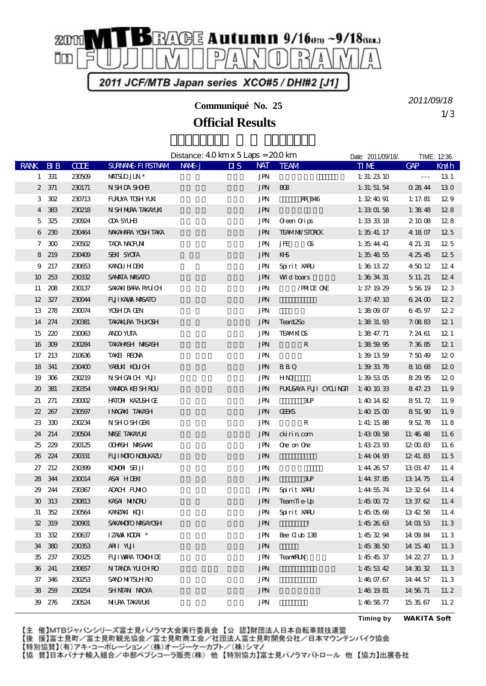

**Communiqué No. 25**

## **Official Results**

1/3 *2011/09/18*

Distance:  $40 \,\mathrm{km} \times 5 \,\mathrm{Laps} = 200 \,\mathrm{km}$ Date: 2011/09/18/. TIME: 12:36 RANK BIB CODE SURNAME-FIRSTNAM NAME-J DIS NAT TEAM TIME GAP Km/h  $1 \quad 331 \quad 230509 \quad \text{MHSUJUN}^*$   $JPN \quad 1:31:23.10 \quad -1:31.23 \quad 10 \quad -1:31.23 \quad 10 \quad -1:31.23 \quad 10 \quad -1:31.23 \quad 10 \quad -1:31.23 \quad 10 \quad -1:31.23 \quad 10 \quad -1:31.23 \quad 10 \quad -1:31.23 \quad 10 \quad -1:31.23 \quad 10 \quad -1:31.23 \quad 10 \quad -1:31.23 \quad 10 \quad -1:31.$ 2 371 230171 NSHDA SHOHE CONSTRUCTED JPN BC8 1:31:51.54 0:28:44 13.0 3 302 230713 FURUYA TOSHIYUKI HARRI JEN RR 846 1:32:40.91 1:17.81 12.9 4 383 230218 NISHIMURA TAKAYUKI 西村 隆幸 大阪府 JPN のぼこん 宝塚線 1:33:01.58 1:38.48 12.8 5 325 230924 ODA SYUHEI CONFINER STATE OF STATE OF STATE OF STATE OF STATE OF STATE OF STATE OF STATE OF STATE 6 230 230464 NAKAHARA YOSHITAKA **hada harawa taka harawa JPN TEAM MX/STORCK** 1:35:41.17 4:18.07 12.5 7 300 230502 TADA NAOFUMI SHE GS 1:35:44.41 4:21.31 12.5  $8 \t219 \t23409 \t554 \t35074$   $J/N \tK5$   $1:35 \t48.55 \t42.5 \t42.5$ 9 217 230653 KANOU HIDEKI 叶 英樹 福島県 JPN Spirit XARU 1:36:13.22 4:50.12 12.4 10 253 230332 SAMATA MASATO **IMA ANG ATO** JPN Wild boars 1:36:34.31 5:11.21 12.4 11 208 230137 SAKAKIBARA RAUCH JPN / PRIDE ONE 1:37:19.29 5:56.19 12:3 12 327 230044 FUJIKAWA MASATO **ILENE AREA UNIVERSIDE SENSIMA ANGLES** JPN 1:37:47.10 6:24.00 12.2  $13 \t278 \t230074 \t XSHDA GEN$   $JPN$   $1:38 \t09.07 \t6.45.97 \t12.2$ 14 274 230381 TAKAKURA THUYOSHI 高倉 剛 神奈川県 JPN Team12So 1:38:31.93 7:08.83 12.1 15 220 230063 AND YUTA **CONFIDENT SEXUAL SERVICE SERVICE SERVICE SERVICE SERVICE SERVICE SERVICE SERVICE SERVICE SERVICE SERVICE SERVICE SERVICE SERVICE SERVICE SERVICE SERVICE SERVICE SERVICE SERVICE SERVICE SERVICE SERVI** 16 309 230284 TAKAHASHI MASASHI ARKA KATA JIN RI 1:38:59.95 7:36.85 12.1 17 213 210636 TAKEIREONA 
IN URN JEN 1:39.13.59 7:50.49 12.0 18 341 230400 YABUKI KOUCHI KOLOHI KATA KOLOHI JIN B.B.Q 1:39:33.78 8:10.68 12.0 19 306 230219 NISHGAICHI NUTI DUN HINO 1:39:53.05 8:29:95 12.0 20 381 230354 YAMADA KEISHIROU LUCCU UNI UNIX FUKUSAYA FUJI CYCLINGTI 1:40:10.33 8:47.23 11.9 21 271 230002 HATORI KAZUSHIGE 3D JPN 3D 1:40:14.82 8:51.72 11.9 22 267 230597 INAGAKITAKASHI A DINGERKS 1:40.15.00 8:51.90 11.9  $23 \t330 \t230234 \t NSHOSHOHM$   $JIN \t R$   $1:41:15.88 \t 9:52.78 \t 11.8$ 24 214 230504 MASE TAKAYUKI 間瀬 貴行 神奈川県 JPN ckirin.com 1:43:09.58 11:46.48 11.6 25 229 230125 OOHASHI MASAAKI 大橋 正明 愛知県 JPN One on One 1:43:23.93 12:00.83 11.6 26 224 230331 FUJIMOTO NOBUKAZU JPN JPN 1:44:04.93 12:41.83 11.5  $27$  212  $23039$  KOMORISELJI  $\text{JPN}$   $1:44.26.57$   $13:03.47$   $11.4$  $28 \frac{344}{230014}$  ASAI HIDEKI  $\frac{114}{300014}$  JPN  $\frac{312}{114}$ ,  $\frac{44}{37}$ ,  $\frac{37}{85}$   $\frac{13}{14}$ ,  $\frac{75}{11.4}$ 29 244 230367 ADACHI FUMIO 足立 文夫 神奈川県 JPN Spirit XARU 1:44:55.74 13:32.64 11.4  $30 \quad 313 \quad 230813 \quad$  KASAI NIINORU  $30 \quad 313 \quad 37.62 \quad 11.4$ 31 352 230564 KANZAKI KOJI 神崎 恒二 山口県 JPN Spirit XARU 1:45:05.68 13:42.58 11.4 32 319 230901 SAKAMOTO MASAYOSHI (J. J. J. J. J. J. J. J. J. J. J. 45:26.63 14:03.53 11.3  $33 \quad 332 \quad 230637 \quad IZAMX KDM * \quad JIN \quad \text{Bee Qub 138} \quad 1:45 \quad 32.94 \quad 14 \quad 09.84 \quad 11.35 \quad 124 \quad 02.95 \quad 13.35 \quad 14.35 \quad 14.35 \quad 24.35 \quad 24.35 \quad 24.35 \quad 24.35 \quad 24.35 \quad 24.35 \quad 24.35 \quad 24.35 \quad 24.35 \quad 24.35 \quad 24.35 \quad 24.35 \quad 24.$ 34 380 230353 ARII YUJI 1.45:38.50 14:15:40 11.3 35 237 230325 FUJIWARA TOMOHIDE JPN TeamARIN 1:45:45.37 14:22.27 11.3 36 241 230657 NTANDA YUCHIRO JPN JPN 1:45:53.42 14:30.32 11.3 37 346 230253 SANO MITSUHIRO JIEN JIEN JEN 1:46:07.67 14:44.57 11.3 38 259 230254 SHINTANI NAOYA **JPN JPN 1:46:19.81 14:56.71 11.2** 39 276 230524 MIURA TAKAYUKI ENGLERED JPN JPN 1:46:58.77 15:35.67 11.2

【主 催】MTBジャパンシリーズ富士見パノラマ大会実行委員会【公 認】財団法人日本自転車競技連盟

【後 援】富士見町/富士見町観光協会/富士見町商工会/社団法人富士見町開発公社/日本マウンテンバイク協会

【特別協賛】(有)アキ・コーポレーション/(株)オージーケーカブト/(株)シマノ

【協 賛】日本バナナ輸入組合/中部ペプシコーラ販売(株) 他【特別協力】富士見パノラマパトロール 他【協力】出展各社

**Timing by** *WAKITA Soft*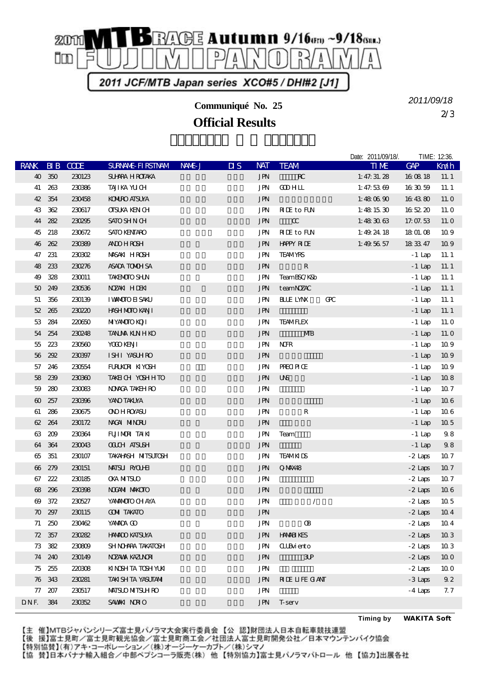

**Communiqué No. 25**

**Official Results**

2/3 *2011/09/18*

Date: 2011/09/18/. TIME: 12:36.

| RANK BIB CODE |        |               | <b>SURNALE FIRSTNAM</b> | NAME J | $\overline{\mathbf{u}}$ | <b>NAT</b>               | <b>TEAM</b>               |   | <b>TIME</b>   | <b>GAP</b> | Km/h            |
|---------------|--------|---------------|-------------------------|--------|-------------------------|--------------------------|---------------------------|---|---------------|------------|-----------------|
|               | 40 350 | 230123        | <b>SU-ARA H ROTAKA</b>  |        |                         | <b>JPN</b>               | $\mathbf{R}^{\mathbf{C}}$ |   | 1: 47: 31. 28 | 160818     | 11.1            |
|               | 41 263 | 230366        | TAJI KA YU CH           |        |                         | JPN                      | <b>COHLL</b>              |   | 1: 47.5369    | 16 30 59   | 11.1            |
|               | 42 354 | 230458        | <b>KONIRO AISUYA</b>    |        |                         | <b>JPN</b>               |                           |   | 1:48 $0690$   | 16 43 80   | 11. O           |
|               | 43 362 | 230617        | <b>CISUKA KEN CH</b>    |        |                         | JPN                      | <b>RIE</b> to FUN         |   | 1:481530      | 16 52 20   | 11. O           |
|               | 44 282 | 230295        | <b>SATO SHN CH</b>      |        |                         | <b>JPN</b>               | $\alpha$                  |   | 1:48 $3063$   | 17.07.53   | 11. O           |
|               | 45 218 | 230672        | <b>SATO KENTARO</b>     |        |                         | JPN                      | <b>RIE</b> to FUN         |   | 1:49 $2418$   | 18 01.08   | 109             |
|               | 46 262 | 230399        | <b>AND HROSH</b>        |        |                         | <b>JPN</b>               | <b>HAPPY RIDE</b>         |   | 1:49 56 57    | 18 33 47   | 109             |
|               | 47 231 | <b>230302</b> | <b>MASAKI HROSH</b>     |        |                         | <b>JPN</b>               | <b>TEAMYRS</b>            |   |               | $-1$ Lap   | 11.1            |
|               | 48 233 | 230276        | ASADA TOMOH SA          |        |                         | <b>JPN</b>               | $\mathbf R$               |   |               | $-1$ Lap   | 11.1            |
|               | 49 328 | 230011        | <b>TAKEMOTO SHJN</b>    |        |                         | JPN                      | TeamBSC/K&b               |   |               | $-1$ Lap   | 11.1            |
|               | 50 249 | 230536        | NZAN HIEN               |        |                         | <b>JPN</b>               | teamNZAC                  |   |               | $-1$ Lap   | 11.1            |
|               | 51 356 | 230139        | <b>I VANOTO EL SAKU</b> |        |                         | <b>JPN</b>               | <b>BLLE LYNX</b>          | Œ |               | $-1$ Lap   | 11.1            |
|               | 52 265 | 230220        | <b>HASH MOTO KANJI</b>  |        |                         | <b>JPN</b>               |                           |   |               | $-1$ Lap   | 11.1            |
|               | 53 284 | 220650        | <b>MIYAMOIO KOII</b>    |        |                         | JPN                      | <b>TEAMFLEX</b>           |   |               | $-1$ Lap   | 11. O           |
|               | 54 254 | 230248        | <b>TANJA KINHKO</b>     |        |                         | <b>JPN</b>               | <b>MB</b>                 |   |               | $-1$ Lap   | 11. O           |
|               | 55 223 | 230560        | YOOD KENJI              |        |                         | JPN                      | <b>NFR</b>                |   |               | $-1$ Lap   | 109             |
|               | 56 292 | 230397        | ISHI YASUHRO            |        |                         | <b>JPN</b>               |                           |   |               | $-1$ Lap   | 109             |
|               | 57 246 | 230554        | FURUKOR KIYOSH          |        |                         | <b>JPN</b>               | <b>PRECIPICE</b>          |   |               | $-1$ Lap   | 109             |
|               | 58 239 | 230360        | TAKEICH YOSHHTO         |        |                         | $\operatorname{J\!P\!N}$ | <b>UNS</b>                |   |               | $-1$ Lap   | 108             |
|               | 59 280 | 230083        | <b>NONCA TAKEH RO</b>   |        |                         | JPN                      |                           |   |               | $-1$ Lap   | 10.7            |
|               | 60 257 | 230396        | YANO TAKUYA             |        |                         | <b>JPN</b>               |                           |   |               | $-1$ Lap   | 106             |
|               | 61 286 | 230675        | <b>ONO H ROYASU</b>     |        |                         | JPN                      | $\mathbb R$               |   |               | $-1$ Lap   | 106             |
|               | 62 264 | 230172        | NACAN MINORU            |        |                         | <b>JPN</b>               |                           |   |               | $-1$ Lap   | 10 <sub>5</sub> |
|               | 63 209 | 230364        | FUJIMORI TAIKI          |        |                         | JPN                      | Team                      |   |               | $-1$ Lap   | 98              |
|               | 64 364 | 230043        | <b>OLIH AISLSH</b>      |        |                         | <b>JPN</b>               |                           |   |               | $-1$ Lap   | 98              |
|               | 65 351 | 230107        | TAKAHASH MITSUTOSH      |        |                         | JPN                      | <b>TEAMKIDS</b>           |   |               | $-2$ Laps  | 107             |
|               | 66 279 | 230151        | <b>MAISU RYOUHI</b>     |        |                         | <b>JPN</b>               | QMX48                     |   |               | - 2 Laps   | 107             |
|               | 67 222 | 230185        | <b>CKA NITSLO</b>       |        |                         | <b>JPN</b>               |                           |   |               | $-2$ Laps  | 107             |
|               | 68 296 | 230398        | <b>NOGAMI MAKCIO</b>    |        |                         | <b>JPN</b>               |                           |   |               | $-2$ Laps  | 106             |
|               | 69 372 | 230527        | YANANOTO CHAYA          |        |                         | JPN                      | Γ                         |   |               | $-2$ Laps  | 10 <sub>5</sub> |
|               | 70 297 | 230115        | <b>COMI TAKATO</b>      |        |                         | <b>JPN</b>               |                           |   |               | $-2$ Laps  | 10 <sub>4</sub> |
|               | 71 250 | 230462        | YANADA CO               |        |                         | JPN                      | Œ                         |   |               | $-2$ Laps  | 10 <sub>4</sub> |
|               | 72 357 | 230282        | <b>HNADO KATSUYA</b>    |        |                         | JPN                      | <b>HAMELYES</b>           |   |               | $-2$ Laps  | 103             |
|               | 73 382 | 230809        | SHNO-ARA TAKATOSH       |        |                         | <b>JPN</b>               | <b>ILB</b> iento          |   |               | $-2$ Laps  | 103             |
|               | 74 240 | 230149        | <b>NZAWA KAZINDA</b>    |        |                         | <b>JPN</b>               | 3P                        |   |               | $-2$ Laps  | 100             |
|               | 75 255 | 220308        | KINSHTA TOSH YUKI       |        |                         | JPN                      |                           |   |               | $-2$ Laps  | 100             |
|               | 76 343 | 230281        | TAKI SH TA YASUTANI     |        |                         | <b>JPN</b>               | <b>RIE LIFE GANT</b>      |   |               | $-3$ Laps  | 92              |
| 77            | 207    | 230517        | <b>MAISLO MITSLH RO</b> |        |                         | <b>JPN</b>               |                           |   |               | $-4$ Laps  | 7.7             |
| DNF.          | 384    | 230352        | SAWAKI NORIO            |        |                         | <b>JPN</b>               | <b>T</b> -serv            |   |               |            |                 |

**Timing by** *WAKITA Soft*

【主 催】MTBジャパンシリーズ富士見パノラマ大会実行委員会【公 認】財団法人日本自転車競技連盟

【後 援】富士見町/富士見町観光協会/富士見町商工会/社団法人富士見町開発公社/日本マウンテンバイク協会